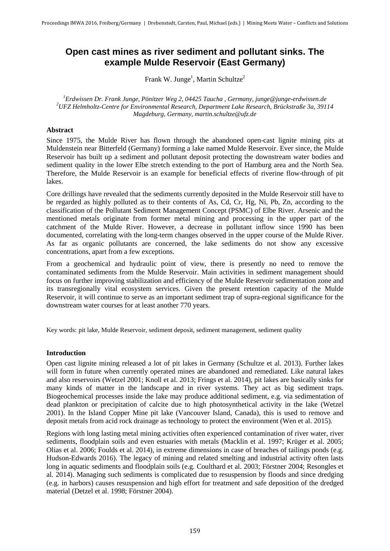# **Open cast mines as river sediment and pollutant sinks. The example Mulde Reservoir (East Germany)**

Frank W. Junge<sup>1</sup>, Martin Schultze<sup>2</sup>

<sup>1</sup> *Erdwissen Dr. Frank Junge, Pönitzer Weg 2, 04425 Taucha, Germany, junge@junge-erdwissen.de*<br><sup>2</sup>*UEZ Helmholtz Cantre for Environmental Bessexeh, Denartment Lake Bessexeh, Brückstraße 3a*, 301 *UFZ Helmholtz-Centre for Environmental Research, Department Lake Research, Brückstraße 3a, 39114 Magdeburg, Germany, martin.schultze@ufz.de*

# **Abstract**

Since 1975, the Mulde River has flown through the abandoned open-cast lignite mining pits at Muldenstein near Bitterfeld (Germany) forming a lake named Mulde Reservoir. Ever since, the Mulde Reservoir has built up a sediment and pollutant deposit protecting the downstream water bodies and sediment quality in the lower Elbe stretch extending to the port of Hamburg area and the North Sea. Therefore, the Mulde Reservoir is an example for beneficial effects of riverine flow-through of pit lakes.

Core drillings have revealed that the sediments currently deposited in the Mulde Reservoir still have to be regarded as highly polluted as to their contents of As, Cd, Cr, Hg, Ni, Pb, Zn, according to the classification of the Pollutant Sediment Management Concept (PSMC) of Elbe River. Arsenic and the mentioned metals originate from former metal mining and processing in the upper part of the catchment of the Mulde River. However, a decrease in pollutant inflow since 1990 has been documented, correlating with the long-term changes observed in the upper course of the Mulde River. As far as organic pollutants are concerned, the lake sediments do not show any excessive concentrations, apart from a few exceptions.

From a geochemical and hydraulic point of view, there is presently no need to remove the contaminated sediments from the Mulde Reservoir. Main activities in sediment management should focus on further improving stabilization and efficiency of the Mulde Reservoir sedimentation zone and its transregionally vital ecosystem services. Given the present retention capacity of the Mulde Reservoir, it will continue to serve as an important sediment trap of supra-regional significance for the downstream water courses for at least another 770 years.

Key words: pit lake, Mulde Reservoir, sediment deposit, sediment management, sediment quality

## **Introduction**

Open cast lignite mining released a lot of pit lakes in Germany (Schultze et al. 2013). Further lakes will form in future when currently operated mines are abandoned and remediated. Like natural lakes and also reservoirs (Wetzel 2001; Knoll et al. 2013; Frings et al. 2014), pit lakes are basically sinks for many kinds of matter in the landscape and in river systems. They act as big sediment traps. Biogeochemical processes inside the lake may produce additional sediment, e.g. via sedimentation of dead plankton or precipitation of calcite due to high photosynthetical activity in the lake (Wetzel 2001). In the Island Copper Mine pit lake (Vancouver Island, Canada), this is used to remove and deposit metals from acid rock drainage as technology to protect the environment (Wen et al. 2015).

Regions with long lasting metal mining activities often experienced contamination of river water, river sediments, floodplain soils and even estuaries with metals (Macklin et al. 1997; Krüger et al. 2005; Olias et al. 2006; Foulds et al. 2014), in extreme dimensions in case of breaches of tailings ponds (e.g. Hudson-Edwards 2016). The legacy of mining and related smelting and industrial activity often lasts long in aquatic sediments and floodplain soils (e.g. Coulthard et al. 2003; Förstner 2004; Resongles et al. 2014). Managing such sediments is complicated due to resuspension by floods and since dredging (e.g. in harbors) causes resuspension and high effort for treatment and safe deposition of the dredged material (Detzel et al. 1998; Förstner 2004).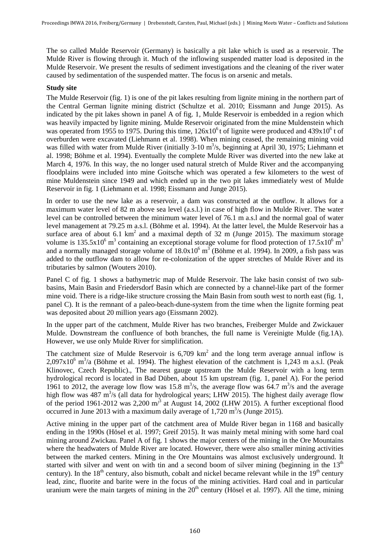The so called Mulde Reservoir (Germany) is basically a pit lake which is used as a reservoir. The Mulde River is flowing through it. Much of the inflowing suspended matter load is deposited in the Mulde Reservoir. We present the results of sediment investigations and the cleaning of the river water caused by sedimentation of the suspended matter. The focus is on arsenic and metals.

# **Study site**

The Mulde Reservoir (fig. 1) is one of the pit lakes resulting from lignite mining in the northern part of the Central German lignite mining district (Schultze et al. 2010; Eissmann and Junge 2015). As indicated by the pit lakes shown in panel A of fig. 1, Mulde Reservoir is embedded in a region which was heavily impacted by lignite mining. Mulde Reservoir originated from the mine Muldenstein which was operated from 1955 to 1975. During this time,  $126x10^6$  t of lignite were produced and  $439x10^6$  t of overburden were excavated (Liehmann et al. 1998). When mining ceased, the remaining mining void was filled with water from Mulde River (initially 3-10 m<sup>3</sup>/s, beginning at April 30, 1975; Liehmann et al. 1998; Böhme et al. 1994). Eventually the complete Mulde River was diverted into the new lake at March 4, 1976. In this way, the no longer used natural stretch of Mulde River and the accompanying floodplains were included into mine Goitsche which was operated a few kilometers to the west of mine Muldenstein since 1949 and which ended up in the two pit lakes immediately west of Mulde Reservoir in fig. 1 (Liehmann et al. 1998; Eissmann and Junge 2015).

In order to use the new lake as a reservoir, a dam was constructed at the outflow. It allows for a maximum water level of 82 m above sea level (a.s.l.) in case of high flow in Mulde River. The water level can be controlled between the minimum water level of 76.1 m a.s.l and the normal goal of water level management at 79.25 m a.s.l. (Böhme et al. 1994). At the latter level, the Mulde Reservoir has a surface area of about 6.1 km<sup>2</sup> and a maximal depth of 32 m (Junge 2015). The maximum storage volume is  $135.5x10^6$  m<sup>3</sup> containing an exceptional storage volume for flood protection of  $17.5x10^6$  m<sup>3</sup> and a normally managed storage volume of  $18.0x10^6$  m<sup>3</sup> (Böhme et al. 1994). In 2009, a fish pass was added to the outflow dam to allow for re-colonization of the upper stretches of Mulde River and its tributaries by salmon (Wouters 2010).

Panel C of fig. 1 shows a bathymetric map of Mulde Reservoir. The lake basin consist of two subbasins, Main Basin and Friedersdorf Basin which are connected by a channel-like part of the former mine void. There is a ridge-like structure crossing the Main Basin from south west to north east (fig. 1, panel C). It is the remnant of a paleo-beach-dune-system from the time when the lignite forming peat was deposited about 20 million years ago (Eissmann 2002).

In the upper part of the catchment, Mulde River has two branches, Freiberger Mulde and Zwickauer Mulde. Downstream the confluence of both branches, the full name is Vereinigte Mulde (fig.1A). However, we use only Mulde River for simplification.

The catchment size of Mulde Reservoir is  $6,709 \text{ km}^2$  and the long term average annual inflow is  $2,097 \times 10^6$  m<sup>3</sup>/a (Böhme et al. 1994). The highest elevation of the catchment is 1,243 m a.s.l. (Peak Klinovec, Czech Republic)., The nearest gauge upstream the Mulde Reservoir with a long term hydrological record is located in Bad Düben, about 15 km upstream (fig. 1, panel A). For the period 1961 to 2012, the average low flow was 15.8  $m^3/s$ , the average flow was 64.7  $m^3/s$  and the average high flow was 487 m<sup>3</sup>/s (all data for hydrological years; LHW 2015). The highest daily average flow of the period 1961-2012 was 2,200  $\text{m/s}$  at August 14, 2002 (LHW 2015). A further exceptional flood occurred in June 2013 with a maximum daily average of  $1,720 \text{ m}^3/\text{s}$  (Junge 2015).

Active mining in the upper part of the catchment area of Mulde River began in 1168 and basically ending in the 1990s (Hösel et al. 1997; Greif 2015). It was mainly metal mining with some hard coal mining around Zwickau. Panel A of fig. 1 shows the major centers of the mining in the Ore Mountains where the headwaters of Mulde River are located. However, there were also smaller mining activities between the marked centers. Mining in the Ore Mountains was almost exclusively underground. It started with silver and went on with tin and a second boom of silver mining (beginning in the  $13<sup>th</sup>$ century). In the  $18<sup>th</sup>$  century, also bismuth, cobalt and nickel became relevant while in the  $19<sup>th</sup>$  century lead, zinc, fluorite and barite were in the focus of the mining activities. Hard coal and in particular uranium were the main targets of mining in the  $20<sup>th</sup>$  century (Hösel et al. 1997). All the time, mining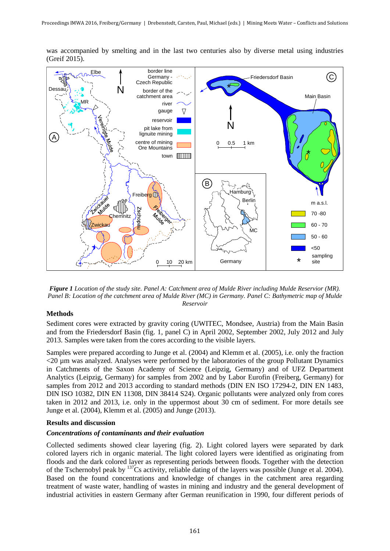

was accompanied by smelting and in the last two centuries also by diverse metal using industries (Greif 2015).

*Figure 1 Location of the study site. Panel A: Catchment area of Mulde River including Mulde Reservior (MR). Panel B: Location of the catchment area of Mulde River (MC) in Germany. Panel C: Bathymetric map of Mulde Reservoir*

## **Methods**

Sediment cores were extracted by gravity coring (UWITEC, Mondsee, Austria) from the Main Basin and from the Friedersdorf Basin (fig. 1, panel C) in April 2002, September 2002, July 2012 and July 2013. Samples were taken from the cores according to the visible layers.

Samples were prepared according to Junge et al. (2004) and Klemm et al. (2005), i.e. only the fraction <20 µm was analyzed. Analyses were performed by the laboratories of the group Pollutant Dynamics in Catchments of the Saxon Academy of Science (Leipzig, Germany) and of UFZ Department Analytics (Leipzig, Germany) for samples from 2002 and by Labor Eurofin (Freiberg, Germany) for samples from 2012 and 2013 according to standard methods (DIN EN ISO 17294-2, DIN EN 1483, DIN ISO 10382, DIN EN 11308, DIN 38414 S24). Organic pollutants were analyzed only from cores taken in 2012 and 2013, i.e. only in the uppermost about 30 cm of sediment. For more details see Junge et al. (2004), Klemm et al. (2005) and Junge (2013).

# **Results and discussion**

#### *Concentrations of contaminants and their evaluation*

Collected sediments showed clear layering (fig. 2). Light colored layers were separated by dark colored layers rich in organic material. The light colored layers were identified as originating from floods and the dark colored layer as representing periods between floods. Together with the detection of the Tschernobyl peak by 137Cs activity, reliable dating of the layers was possible (Junge et al. 2004). Based on the found concentrations and knowledge of changes in the catchment area regarding treatment of waste water, handling of wastes in mining and industry and the general development of industrial activities in eastern Germany after German reunification in 1990, four different periods of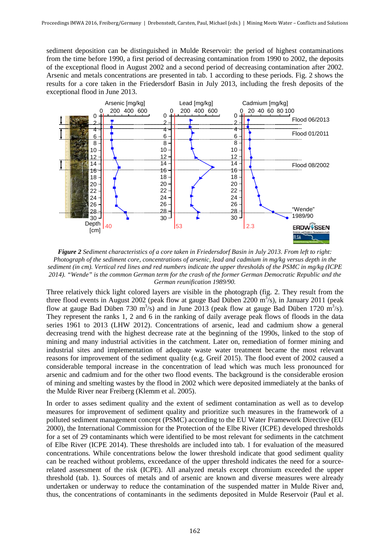sediment deposition can be distinguished in Mulde Reservoir: the period of highest contaminations from the time before 1990, a first period of decreasing contamination from 1990 to 2002, the deposits of the exceptional flood in August 2002 and a second period of decreasing contamination after 2002. Arsenic and metals concentrations are presented in tab. 1 according to these periods. Fig. 2 shows the results for a core taken in the Friedersdorf Basin in July 2013, including the fresh deposits of the exceptional flood in June 2013.



*Figure 2 Sediment characteristics of a core taken in Friedersdorf Basin in July 2013. From left to right: Photograph of the sediment core, concentrations of arsenic, lead and cadmium in mg/kg versus depth in the sediment (in cm). Vertical red lines and red numbers indicate the upper thresholds of the PSMC in mg/kg (ICPE 2014). "Wende" is the common German term for the crash of the former German Democratic Republic and the German reunification 1989/90.*

Three relatively thick light colored layers are visible in the photograph (fig. 2. They result from the three flood events in August 2002 (peak flow at gauge Bad Düben  $2200 \text{ m}^3\text{/s}$ ), in January 2011 (peak flow at gauge Bad Düben 730 m<sup>3</sup>/s) and in June 2013 (peak flow at gauge Bad Düben 1720 m<sup>3</sup>/s). They represent the ranks 1, 2 and 6 in the ranking of daily average peak flows of floods in the data series 1961 to 2013 (LHW 2012). Concentrations of arsenic, lead and cadmium show a general decreasing trend with the highest decrease rate at the beginning of the 1990s, linked to the stop of mining and many industrial activities in the catchment. Later on, remediation of former mining and industrial sites and implementation of adequate waste water treatment became the most relevant reasons for improvement of the sediment quality (e.g. Greif 2015). The flood event of 2002 caused a considerable temporal increase in the concentration of lead which was much less pronounced for arsenic and cadmium and for the other two flood events. The background is the considerable erosion of mining and smelting wastes by the flood in 2002 which were deposited immediately at the banks of the Mulde River near Freiberg (Klemm et al. 2005).

In order to asses sediment quality and the extent of sediment contamination as well as to develop measures for improvement of sediment quality and prioritize such measures in the framework of a polluted sediment management concept (PSMC) according to the EU Water Framework Directive (EU 2000), the International Commission for the Protection of the Elbe River (ICPE) developed thresholds for a set of 29 contaminants which were identified to be most relevant for sediments in the catchment of Elbe River (ICPE 2014). These thresholds are included into tab. 1 for evaluation of the measured concentrations. While concentrations below the lower threshold indicate that good sediment quality can be reached without problems, exceedance of the upper threshold indicates the need for a sourcerelated assessment of the risk (ICPE). All analyzed metals except chromium exceeded the upper threshold (tab. 1). Sources of metals and of arsenic are known and diverse measures were already undertaken or underway to reduce the contamination of the suspended matter in Mulde River and, thus, the concentrations of contaminants in the sediments deposited in Mulde Reservoir (Paul et al.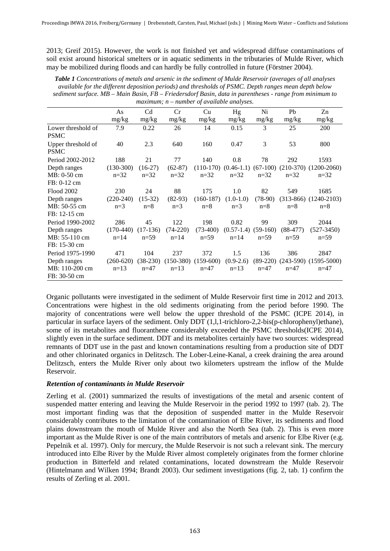2013; Greif 2015). However, the work is not finished yet and widespread diffuse contaminations of soil exist around historical smelters or in aquatic sediments in the tributaries of Mulde River, which may be mobilized during floods and can hardly be fully controlled in future (Förstner 2004).

| <b>Table 1</b> Concentrations of metals and arsenic in the sediment of Mulde Reservoir (averages of all analyses |
|------------------------------------------------------------------------------------------------------------------|
| available for the different deposition periods) and thresholds of PSMC. Depth ranges mean depth below            |
| sediment surface. MB – Main Basin, FB – Friedersdorf Basin, data in parentheses - range from minimum to          |
| $maximum$ ; $n$ – number of available analyses.                                                                  |

|                    | As          | Cd         | Cr         | Cu                      | Hg                      | Ni        | Pb         | Zn                                                            |  |  |
|--------------------|-------------|------------|------------|-------------------------|-------------------------|-----------|------------|---------------------------------------------------------------|--|--|
|                    | mg/kg       | mg/kg      | mg/kg      | mg/kg                   | mg/kg                   | mg/kg     | mg/kg      | mg/kg                                                         |  |  |
| Lower threshold of | 7.9         | 0.22       | 26         | 14                      | 0.15                    | 3         | 25         | 200                                                           |  |  |
| <b>PSMC</b>        |             |            |            |                         |                         |           |            |                                                               |  |  |
| Upper threshold of | 40          | 2.3        | 640        | 160                     | 0.47                    | 3         | 53         | 800                                                           |  |  |
| <b>PSMC</b>        |             |            |            |                         |                         |           |            |                                                               |  |  |
| Period 2002-2012   | 188         | 21         | 77         | 140                     | 0.8                     | 78        | 292        | 1593                                                          |  |  |
| Depth ranges       | $(130-300)$ | $(16-27)$  | $(62-87)$  |                         |                         |           |            | $(110-170)$ $(0.46-1.1)$ $(67-100)$ $(210-370)$ $(1200-2060)$ |  |  |
| MB: 0-50 cm        | $n=32$      | $n=32$     | $n=32$     | $n=32$                  | $n=32$                  | $n=32$    | $n=32$     | $n=32$                                                        |  |  |
| FB: 0-12 cm        |             |            |            |                         |                         |           |            |                                                               |  |  |
| Flood 2002         | 230         | 24         | 88         | 175                     | 1.0                     | 82        | 549        | 1685                                                          |  |  |
| Depth ranges       | $(220-240)$ | $(15-32)$  | $(82-93)$  | $(160-187)$             | $(1.0-1.0)$             | $(78-90)$ |            | $(313-866)$ $(1240-2103)$                                     |  |  |
| MB: 50-55 cm       | $n=3$       | $n=8$      | $n=3$      | $n=8$                   | $n=3$                   | $n=8$     | $n=8$      | $n=8$                                                         |  |  |
| FB: 12-15 cm       |             |            |            |                         |                         |           |            |                                                               |  |  |
| Period 1990-2002   | 286         | 45         | 122        | 198                     | 0.82                    | 99        | 309        | 2044                                                          |  |  |
| Depth ranges       | $(170-440)$ | $(17-136)$ | $(74-220)$ | $(73-400)$              | $(0.57-1.4)$ $(59-160)$ |           | $(88-477)$ | $(527 - 3450)$                                                |  |  |
| MB: 55-110 cm      | $n=14$      | $n=59$     | $n=14$     | $n=59$                  | $n=14$                  | $n=59$    | $n=59$     | $n=59$                                                        |  |  |
| FB: 15-30 cm       |             |            |            |                         |                         |           |            |                                                               |  |  |
| Period 1975-1990   | 471         | 104        | 237        | 372                     | 1.5                     | 136       | 386        | 2847                                                          |  |  |
| Depth ranges       | $(260-620)$ | $(38-230)$ |            | $(150-380)$ $(159-600)$ | $(0.9-2.6)$             |           |            | $(89-220)$ $(243-590)$ $(1595-5000)$                          |  |  |
| MB: 110-200 cm     | $n=13$      | $n=47$     | $n=13$     | $n=47$                  | $n=13$                  | $n=47$    | $n=47$     | $n=47$                                                        |  |  |
| FB: 30-50 cm       |             |            |            |                         |                         |           |            |                                                               |  |  |

Organic pollutants were investigated in the sediment of Mulde Reservoir first time in 2012 and 2013. Concentrations were highest in the old sediments originating from the period before 1990. The majority of concentrations were well below the upper threshold of the PSMC (ICPE 2014), in particular in surface layers of the sediment. Only DDT (1,1,1-trichloro-2,2-bis(p-chlorophenyl)ethane), some of its metabolites and fluoranthene considerably exceeded the PSMC thresholds(ICPE 2014), slightly even in the surface sediment. DDT and its metabolites certainly have two sources: widespread remnants of DDT use in the past and known contaminations resulting from a production site of DDT and other chlorinated organics in Delitzsch. The Lober-Leine-Kanal, a creek draining the area around Delitzsch, enters the Mulde River only about two kilometers upstream the inflow of the Mulde Reservoir.

# *Retention of contaminants in Mulde Reservoir*

Zerling et al. (2001) summarized the results of investigations of the metal and arsenic content of suspended matter entering and leaving the Mulde Reservoir in the period 1992 to 1997 (tab. 2). The most important finding was that the deposition of suspended matter in the Mulde Reservoir considerably contributes to the limitation of the contamination of Elbe River, its sediments and flood plains downstream the mouth of Mulde River and also the North Sea (tab. 2). This is even more important as the Mulde River is one of the main contributors of metals and arsenic for Elbe River (e.g. Pepelnik et al. 1997). Only for mercury, the Mulde Reservoir is not such a relevant sink. The mercury introduced into Elbe River by the Mulde River almost completely originates from the former chlorine production in Bitterfeld and related contaminations, located downstream the Mulde Reservoir (Hintelmann and Wilken 1994; Brandt 2003). Our sediment investigations (fig. 2, tab. 1) confirm the results of Zerling et al. 2001.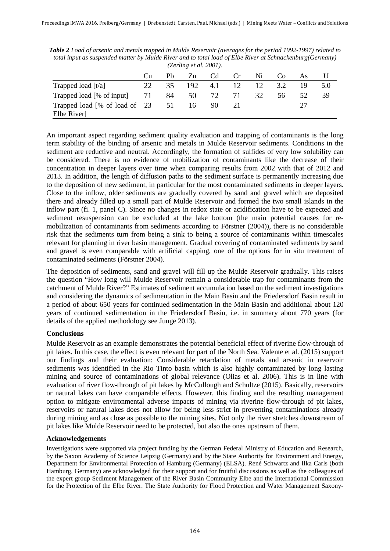| (Zerling et al. 2001).                                        |     |     |      |     |    |    |     |    | $\sim$ $\prime$ |
|---------------------------------------------------------------|-----|-----|------|-----|----|----|-----|----|-----------------|
|                                                               | Cu  | Ph  | Zn   | Cd  | Cr | Ni | Co  | As |                 |
| Trapped load $[t/a]$                                          | 22. | 35. | 192. | 4.1 | 12 | 12 | 3.2 | 19 | 5.0             |
| Trapped load [% of input]                                     | 71  | 84  | 50   | 72  | 71 | 32 | 56  | 52 | 39              |
| Trapped load $\lceil\% \rceil$ of load of 23 51<br>Elbe River |     |     | 16   | 90  |    |    |     | 27 |                 |

*Table 2 Load of arsenic and metals trapped in Mulde Reservoir (averages for the period 1992-1997) related to total input as suspended matter by Mulde River and to total load of Elbe River at Schnackenburg(Germany)* 

An important aspect regarding sediment quality evaluation and trapping of contaminants is the long term stability of the binding of arsenic and metals in Mulde Reservoir sediments. Conditions in the sediment are reductive and neutral. Accordingly, the formation of sulfides of very low solubility can be considered. There is no evidence of mobilization of contaminants like the decrease of their concentration in deeper layers over time when comparing results from 2002 with that of 2012 and 2013. In addition, the length of diffusion paths to the sediment surface is permanently increasing due to the deposition of new sediment, in particular for the most contaminated sediments in deeper layers. Close to the inflow, older sediments are gradually covered by sand and gravel which are deposited there and already filled up a small part of Mulde Reservoir and formed the two small islands in the inflow part (fi. 1, panel C). Since no changes in redox state or acidification have to be expected and sediment resuspension can be excluded at the lake bottom (the main potential causes for remobilization of contaminants from sediments according to Förstner (2004)), there is no considerable risk that the sediments turn from being a sink to being a source of contaminants within timescales relevant for planning in river basin management. Gradual covering of contaminated sediments by sand and gravel is even comparable with artificial capping, one of the options for in situ treatment of contaminated sediments (Förstner 2004).

The deposition of sediments, sand and gravel will fill up the Mulde Reservoir gradually. This raises the question "How long will Mulde Reservoir remain a considerable trap for contaminants from the catchment of Mulde River?" Estimates of sediment accumulation based on the sediment investigations and considering the dynamics of sedimentation in the Main Basin and the Friedersdorf Basin result in a period of about 650 years for continued sedimentation in the Main Basin and additional about 120 years of continued sedimentation in the Friedersdorf Basin, i.e. in summary about 770 years (for details of the applied methodology see Junge 2013).

# **Conclusions**

Mulde Reservoir as an example demonstrates the potential beneficial effect of riverine flow-through of pit lakes. In this case, the effect is even relevant for part of the North Sea. Valente et al. (2015) support our findings and their evaluation: Considerable retardation of metals and arsenic in reservoir sediments was identified in the Rio Tinto basin which is also highly contaminated by long lasting mining and source of contaminations of global relevance (Olias et al. 2006). This is in line with evaluation of river flow-through of pit lakes by McCullough and Schultze (2015). Basically, reservoirs or natural lakes can have comparable effects. However, this finding and the resulting management option to mitigate environmental adverse impacts of mining via riverine flow-through of pit lakes, reservoirs or natural lakes does not allow for being less strict in preventing contaminations already during mining and as close as possible to the mining sites. Not only the river stretches downstream of pit lakes like Mulde Reservoir need to be protected, but also the ones upstream of them.

# **Acknowledgements**

Investigations were supported via project funding by the German Federal Ministry of Education and Research, by the Saxon Academy of Science Leipzig (Germany) and by the State Authority for Environment and Energy, Department for Environmental Protection of Hamburg (Germany) (ELSA). René Schwartz and Ilka Carls (both Hamburg, Germany) are acknowledged for their support and for fruitful discussions as well as the colleagues of the expert group Sediment Management of the River Basin Community Elbe and the International Commission for the Protection of the Elbe River. The State Authority for Flood Protection and Water Management Saxony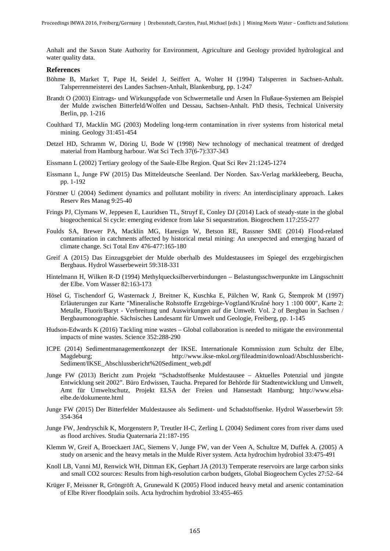Anhalt and the Saxon State Authority for Environment, Agriculture and Geology provided hydrological and water quality data.

#### **References**

- Böhme B, Market T, Pape H, Seidel J, Seiffert A, Wolter H (1994) Talsperren in Sachsen-Anhalt. Talsperrenmeisterei des Landes Sachsen-Anhalt, Blankenburg, pp. 1-247
- Brandt O (2003) Eintrags- und Wirkungspfade von Schwermetalle und Arsen In Flußaue-Systemen am Beispiel der Mulde zwischen Bitterfeld/Wolfen und Dessau, Sachsen-Anhalt. PhD thesis, Technical University Berlin, pp. 1-216
- Coulthard TJ, Macklin MG (2003) Modeling long-term contamination in river systems from historical metal mining. Geology 31:451-454
- Detzel HD, Schramm W, Döring U, Bode W (1998) New technology of mechanical treatment of dredged material from Hamburg harbour. Wat Sci Tech 37(6-7):337-343
- Eissmann L (2002) Tertiary geology of the Saale-Elbe Region. Quat Sci Rev 21:1245-1274
- Eissmann L, Junge FW (2015) Das Mitteldeutsche Seenland. Der Norden. Sax-Verlag markkleeberg, Beucha, pp. 1-192
- Förstner U (2004) Sediment dynamics and pollutant mobility in rivers: An interdisciplinary approach. Lakes Reserv Res Manag 9:25-40
- Frings PJ, Clymans W, Jeppesen E, Lauridsen TL, Struyf E, Conley DJ (2014) Lack of steady-state in the global biogeochemical Si cycle: emerging evidence from lake Si sequestration. Biogeochem 117:255-277
- Foulds SA, Brewer PA, Macklin MG, Haresign W, Betson RE, Rassner SME (2014) Flood-related contamination in catchments affected by historical metal mining: An unexpected and emerging hazard of climate change. Sci Total Env 476-477:165-180
- Greif A (2015) Das Einzugsgebiet der Mulde oberhalb des Muldestausees im Spiegel des erzgebirgischen Bergbaus. Hydrol Wasserbeweirt 59:318-331
- Hintelmann H, Wilken R-D (1994) Methylquecksilberverbindungen Belastungsschwerpunkte im Längsschnitt der Elbe. Vom Wasser 82:163-173
- Hösel G, Tischendorf G, Wasternack J, Breitner K, Kuschka E, Pälchen W, Rank G, Štemprok M (1997) Erläuterungen zur Karte "Mineralische Rohstoffe Erzgebirge-Vogtland/Krušné hory 1 :100 000", Karte 2: Metalle, Fluorit/Baryt - Verbreitung und Auswirkungen auf die Umwelt. Vol. 2 of Bergbau in Sachsen / Bergbaumonographie. Sächsisches Landesamt für Umwelt und Geologie, Freiberg, pp. 1-145
- Hudson-Edwards K (2016) Tackling mine wastes Global collaboration is needed to mitigate the environmental impacts of mine wastes. Science 352:288-290
- ICPE (2014) Sedimentmanagementkonzept der IKSE. Internationale Kommission zum Schultz der Elbe, Magdeburg; http://www.ikse-mkol.org/fileadmin/download/Abschlussbericht-Sediment/IKSE\_Abschlussbericht%20Sediment\_web.pdf
- Junge FW (2013) Bericht zum Projekt "Schadstoffsenke Muldestausee Aktuelles Potenzial und jüngste Entwicklung seit 2002". Büro Erdwissen, Taucha. Prepared for Behörde für Stadtentwicklung und Umwelt, Amt für Umweltschutz, Projekt ELSA der Freien und Hansestadt Hamburg; http://www.elsaelbe.de/dokumente.html
- Junge FW (2015) Der Bitterfelder Muldestausee als Sediment- und Schadstoffsenke. Hydrol Wasserbewirt 59: 354-364
- Junge FW, Jendryschik K, Morgenstern P, Treutler H-C, Zerling L (2004) Sediment cores from river dams used as flood archives. Studia Quaternaria 21:187-195
- Klemm W, Greif A, Broeckaert JAC, Siemens V, Junge FW, van der Veen A, Schultze M, Duffek A. (2005) A study on arsenic and the heavy metals in the Mulde River system. Acta hydrochim hydrobiol 33:475-491
- Knoll LB, Vanni MJ, Renwick WH, Dittman EK, Gephart JA (2013) Temperate reservoirs are large carbon sinks and small CO2 sources: Results from high-resolution carbon budgets, Global Biogeochem Cycles 27:52–64
- Krüger F, Meissner R, Gröngröft A, Grunewald K (2005) Flood induced heavy metal and arsenic contamination of Elbe River floodplain soils. Acta hydrochim hydrobiol 33:455-465